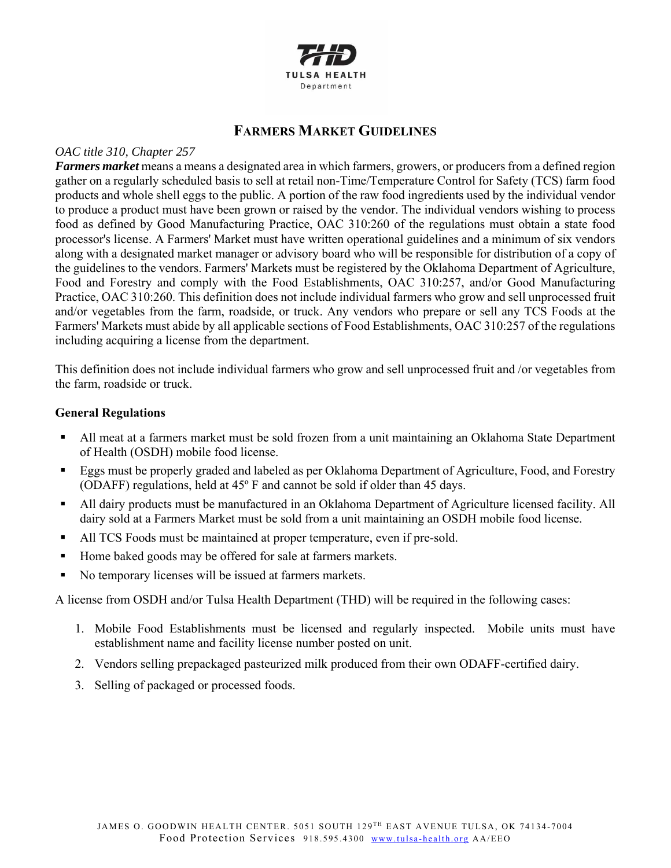

# **FARMERS MARKET GUIDELINES**

## *OAC title 310, Chapter 257*

*Farmers market* means a means a designated area in which farmers, growers, or producers from a defined region gather on a regularly scheduled basis to sell at retail non-Time/Temperature Control for Safety (TCS) farm food products and whole shell eggs to the public. A portion of the raw food ingredients used by the individual vendor to produce a product must have been grown or raised by the vendor. The individual vendors wishing to process food as defined by Good Manufacturing Practice, OAC 310:260 of the regulations must obtain a state food processor's license. A Farmers' Market must have written operational guidelines and a minimum of six vendors along with a designated market manager or advisory board who will be responsible for distribution of a copy of the guidelines to the vendors. Farmers' Markets must be registered by the Oklahoma Department of Agriculture, Food and Forestry and comply with the Food Establishments, OAC 310:257, and/or Good Manufacturing Practice, OAC 310:260. This definition does not include individual farmers who grow and sell unprocessed fruit and/or vegetables from the farm, roadside, or truck. Any vendors who prepare or sell any TCS Foods at the Farmers' Markets must abide by all applicable sections of Food Establishments, OAC 310:257 of the regulations including acquiring a license from the department.

This definition does not include individual farmers who grow and sell unprocessed fruit and /or vegetables from the farm, roadside or truck.

# **General Regulations**

- All meat at a farmers market must be sold frozen from a unit maintaining an Oklahoma State Department of Health (OSDH) mobile food license.
- Eggs must be properly graded and labeled as per Oklahoma Department of Agriculture, Food, and Forestry (ODAFF) regulations, held at 45º F and cannot be sold if older than 45 days.
- All dairy products must be manufactured in an Oklahoma Department of Agriculture licensed facility. All dairy sold at a Farmers Market must be sold from a unit maintaining an OSDH mobile food license.
- All TCS Foods must be maintained at proper temperature, even if pre-sold.
- Home baked goods may be offered for sale at farmers markets.
- No temporary licenses will be issued at farmers markets.

A license from OSDH and/or Tulsa Health Department (THD) will be required in the following cases:

- 1. Mobile Food Establishments must be licensed and regularly inspected. Mobile units must have establishment name and facility license number posted on unit.
- 2. Vendors selling prepackaged pasteurized milk produced from their own ODAFF-certified dairy.
- 3. Selling of packaged or processed foods.